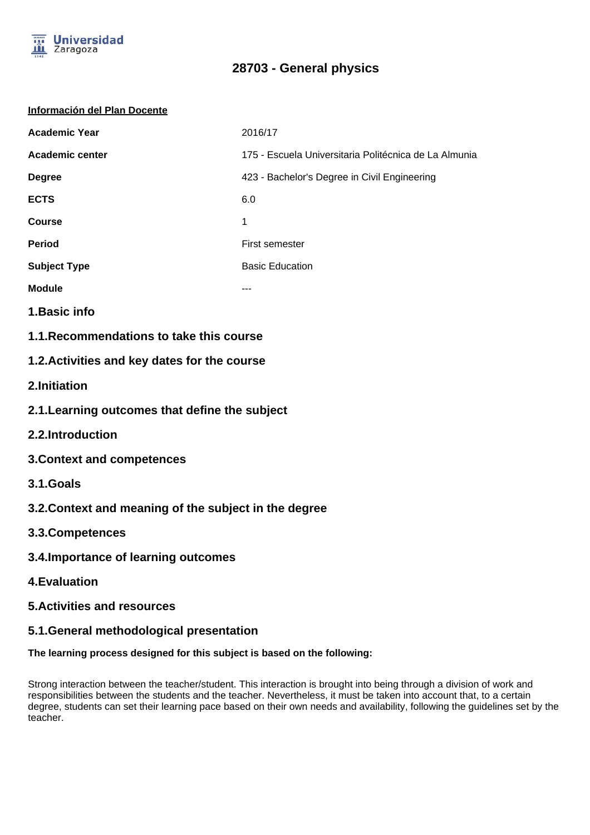

#### **Información del Plan Docente**

| <b>Academic Year</b>   | 2016/17                                               |
|------------------------|-------------------------------------------------------|
| <b>Academic center</b> | 175 - Escuela Universitaria Politécnica de La Almunia |
| <b>Degree</b>          | 423 - Bachelor's Degree in Civil Engineering          |
| <b>ECTS</b>            | 6.0                                                   |
| <b>Course</b>          | 1                                                     |
| <b>Period</b>          | First semester                                        |
| <b>Subject Type</b>    | <b>Basic Education</b>                                |
| <b>Module</b>          | ---                                                   |

- **1.Basic info**
- **1.1.Recommendations to take this course**

## **1.2.Activities and key dates for the course**

- **2.Initiation**
- **2.1.Learning outcomes that define the subject**
- **2.2.Introduction**
- **3.Context and competences**
- **3.1.Goals**
- **3.2.Context and meaning of the subject in the degree**
- **3.3.Competences**
- **3.4.Importance of learning outcomes**
- **4.Evaluation**
- **5.Activities and resources**

### **5.1.General methodological presentation**

### **The learning process designed for this subject is based on the following:**

Strong interaction between the teacher/student. This interaction is brought into being through a division of work and responsibilities between the students and the teacher. Nevertheless, it must be taken into account that, to a certain degree, students can set their learning pace based on their own needs and availability, following the guidelines set by the teacher.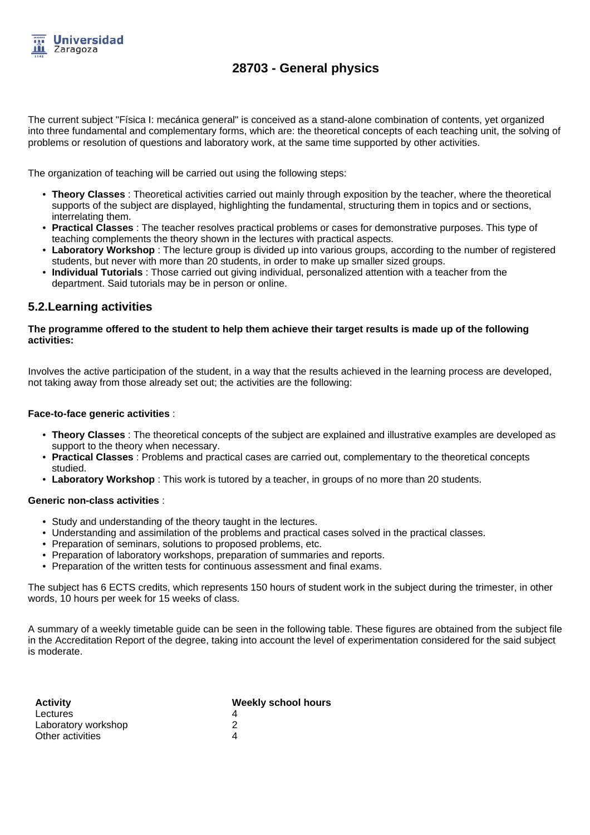

The current subject "Física I: mecánica general" is conceived as a stand-alone combination of contents, yet organized into three fundamental and complementary forms, which are: the theoretical concepts of each teaching unit, the solving of problems or resolution of questions and laboratory work, at the same time supported by other activities.

The organization of teaching will be carried out using the following steps:

- **Theory Classes** : Theoretical activities carried out mainly through exposition by the teacher, where the theoretical supports of the subject are displayed, highlighting the fundamental, structuring them in topics and or sections, interrelating them.
- **Practical Classes** : The teacher resolves practical problems or cases for demonstrative purposes. This type of teaching complements the theory shown in the lectures with practical aspects.
- **Laboratory Workshop** : The lecture group is divided up into various groups, according to the number of registered students, but never with more than 20 students, in order to make up smaller sized groups.
- **Individual Tutorials** : Those carried out giving individual, personalized attention with a teacher from the department. Said tutorials may be in person or online.

### **5.2.Learning activities**

#### **The programme offered to the student to help them achieve their target results is made up of the following activities:**

Involves the active participation of the student, in a way that the results achieved in the learning process are developed, not taking away from those already set out; the activities are the following:

#### **Face-to-face generic activities** :

- **Theory Classes** : The theoretical concepts of the subject are explained and illustrative examples are developed as support to the theory when necessary.
- **Practical Classes** : Problems and practical cases are carried out, complementary to the theoretical concepts studied.
- **Laboratory Workshop** : This work is tutored by a teacher, in groups of no more than 20 students.

#### **Generic non-class activities** :

- Study and understanding of the theory taught in the lectures.
- Understanding and assimilation of the problems and practical cases solved in the practical classes.
- Preparation of seminars, solutions to proposed problems, etc.
- Preparation of laboratory workshops, preparation of summaries and reports.
- Preparation of the written tests for continuous assessment and final exams.

The subject has 6 ECTS credits, which represents 150 hours of student work in the subject during the trimester, in other words, 10 hours per week for 15 weeks of class.

A summary of a weekly timetable guide can be seen in the following table. These figures are obtained from the subject file in the Accreditation Report of the degree, taking into account the level of experimentation considered for the said subject is moderate.

| <b>Activity</b>     | <b>Weekly school hours</b> |
|---------------------|----------------------------|
| Lectures            |                            |
| Laboratory workshop |                            |
| Other activities    |                            |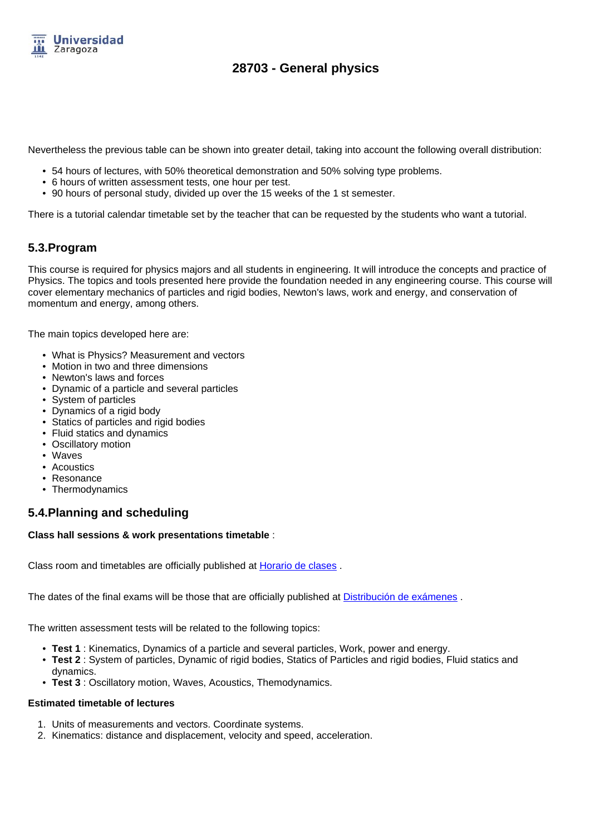

Nevertheless the previous table can be shown into greater detail, taking into account the following overall distribution:

- 54 hours of lectures, with 50% theoretical demonstration and 50% solving type problems.
- 6 hours of written assessment tests, one hour per test.
- 90 hours of personal study, divided up over the 15 weeks of the 1 st semester.

There is a tutorial calendar timetable set by the teacher that can be requested by the students who want a tutorial.

## **5.3.Program**

This course is required for physics majors and all students in engineering. It will introduce the concepts and practice of Physics. The topics and tools presented here provide the foundation needed in any engineering course. This course will cover elementary mechanics of particles and rigid bodies, Newton's laws, work and energy, and conservation of momentum and energy, among others.

The main topics developed here are:

- What is Physics? Measurement and vectors
- Motion in two and three dimensions
- Newton's laws and forces
- Dynamic of a particle and several particles
- System of particles
- Dynamics of a rigid body
- Statics of particles and rigid bodies
- Fluid statics and dynamics
- Oscillatory motion
- Waves
- Acoustics
- Resonance
- Thermodynamics

## **5.4.Planning and scheduling**

### **Class hall sessions & work presentations timetable** :

Class room and timetables are officially published at **Horario de clases**.

The dates of the final exams will be those that are officially published at **Distribución de exámenes**.

The written assessment tests will be related to the following topics:

- **Test 1** : Kinematics, Dynamics of a particle and several particles, Work, power and energy.
- **Test 2** : System of particles, Dynamic of rigid bodies, Statics of Particles and rigid bodies. Fluid statics and dynamics.
- **Test 3** : Oscillatory motion, Waves, Acoustics, Themodynamics.

### **Estimated timetable of lectures**

- 1. Units of measurements and vectors. Coordinate systems.
- 2. Kinematics: distance and displacement, velocity and speed, acceleration.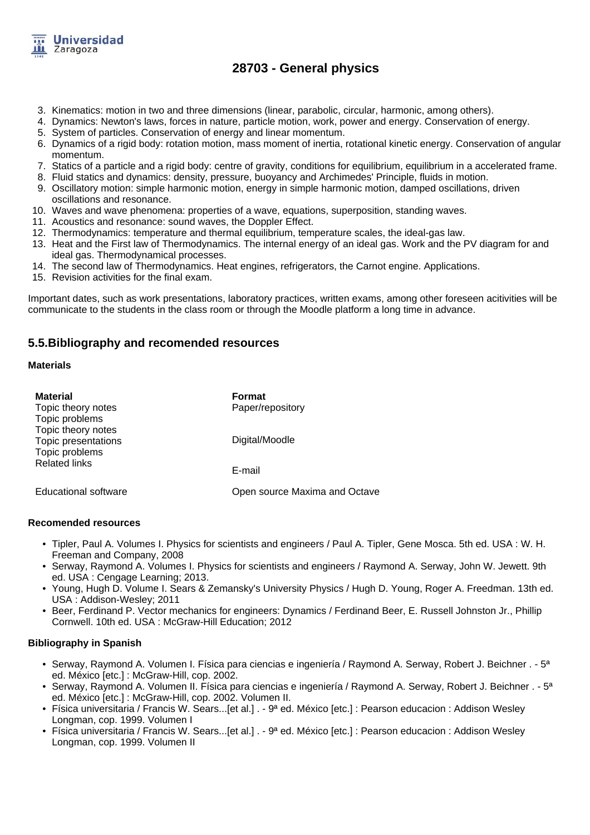

- 3. Kinematics: motion in two and three dimensions (linear, parabolic, circular, harmonic, among others).
- 4. Dynamics: Newton's laws, forces in nature, particle motion, work, power and energy. Conservation of energy.
- 5. System of particles. Conservation of energy and linear momentum.
- 6. Dynamics of a rigid body: rotation motion, mass moment of inertia, rotational kinetic energy. Conservation of angular momentum.
- 7. Statics of a particle and a rigid body: centre of gravity, conditions for equilibrium, equilibrium in a accelerated frame.
- 8. Fluid statics and dynamics: density, pressure, buoyancy and Archimedes' Principle, fluids in motion.
- 9. Oscillatory motion: simple harmonic motion, energy in simple harmonic motion, damped oscillations, driven oscillations and resonance.
- 10. Waves and wave phenomena: properties of a wave, equations, superposition, standing waves.
- 11. Acoustics and resonance: sound waves, the Doppler Effect.
- 12. Thermodynamics: temperature and thermal equilibrium, temperature scales, the ideal-gas law.
- 13. Heat and the First law of Thermodynamics. The internal energy of an ideal gas. Work and the PV diagram for and ideal gas. Thermodynamical processes.
- 14. The second law of Thermodynamics. Heat engines, refrigerators, the Carnot engine. Applications.
- 15. Revision activities for the final exam.

Important dates, such as work presentations, laboratory practices, written exams, among other foreseen acitivities will be communicate to the students in the class room or through the Moodle platform a long time in advance.

### **5.5.Bibliography and recomended resources**

#### **Materials**

| <b>Material</b><br>Topic theory notes<br>Topic problems     | <b>Format</b><br>Paper/repository |
|-------------------------------------------------------------|-----------------------------------|
| Topic theory notes<br>Topic presentations<br>Topic problems | Digital/Moodle                    |
| <b>Related links</b>                                        | E-mail                            |
| <b>Educational software</b>                                 | Open source Maxima and Octave     |

#### **Recomended resources**

- Tipler, Paul A. Volumes I. Physics for scientists and engineers / Paul A. Tipler, Gene Mosca. 5th ed. USA : W. H. Freeman and Company, 2008
- Serway, Raymond A. Volumes I. Physics for scientists and engineers / Raymond A. Serway, John W. Jewett. 9th ed. USA : Cengage Learning; 2013.
- Young, Hugh D. Volume I. Sears & Zemansky's University Physics / Hugh D. Young, Roger A. Freedman. 13th ed. USA : Addison-Wesley; 2011
- Beer, Ferdinand P. Vector mechanics for engineers: Dynamics / Ferdinand Beer, E. Russell Johnston Jr., Phillip Cornwell. 10th ed. USA : McGraw-Hill Education; 2012

### **Bibliography in Spanish**

- Serway, Raymond A. Volumen I. Física para ciencias e ingeniería / Raymond A. Serway, Robert J. Beichner . 5<sup>a</sup> ed. México [etc.] : McGraw-Hill, cop. 2002.
- Serway, Raymond A. Volumen II. Física para ciencias e ingeniería / Raymond A. Serway, Robert J. Beichner . 5ª ed. México [etc.] : McGraw-Hill, cop. 2002. Volumen II.
- Física universitaria / Francis W. Sears...[et al.] . 9ª ed. México [etc.] : Pearson educacion : Addison Wesley Longman, cop. 1999. Volumen I
- Física universitaria / Francis W. Sears...[et al.] . 9ª ed. México [etc.] : Pearson educacion : Addison Wesley Longman, cop. 1999. Volumen II